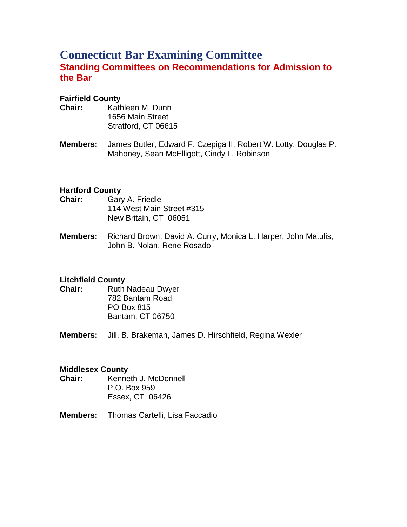# **Connecticut Bar Examining Committee Standing Committees on Recommendations for Admission to the Bar**

### **Fairfield County**

- **Chair:** Kathleen M. Dunn 1656 Main Street Stratford, CT 06615
- **Members:** James Butler, Edward F. Czepiga II, Robert W. Lotty, Douglas P. Mahoney, Sean McElligott, Cindy L. Robinson

#### **Hartford County**

- **Chair:** Gary A. Friedle 114 West Main Street #315 New Britain, CT 06051
- **Members:** Richard Brown, David A. Curry, Monica L. Harper, John Matulis, John B. Nolan, Rene Rosado

## **Litchfield County**

- **Chair:** Ruth Nadeau Dwyer 782 Bantam Road PO Box 815 Bantam, CT 06750
- **Members:** Jill. B. Brakeman, James D. Hirschfield, Regina Wexler

#### **Middlesex County**

- **Chair:** Kenneth J. McDonnell P.O. Box 959 Essex, CT 06426
- **Members:** Thomas Cartelli, Lisa Faccadio